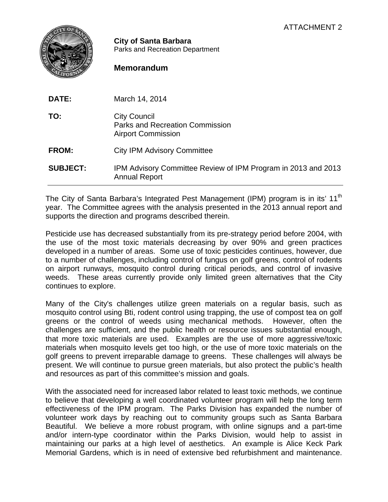

**City of Santa Barbara** Parks and Recreation Department

## **Memorandum**

| <b>DATE:</b>    | March 14, 2014                                                                             |
|-----------------|--------------------------------------------------------------------------------------------|
| TO:             | <b>City Council</b><br><b>Parks and Recreation Commission</b><br><b>Airport Commission</b> |
| <b>FROM:</b>    | <b>City IPM Advisory Committee</b>                                                         |
| <b>SUBJECT:</b> | IPM Advisory Committee Review of IPM Program in 2013 and 2013<br><b>Annual Report</b>      |

The City of Santa Barbara's Integrated Pest Management (IPM) program is in its' 11<sup>th</sup> year. The Committee agrees with the analysis presented in the 2013 annual report and supports the direction and programs described therein.

Pesticide use has decreased substantially from its pre-strategy period before 2004, with the use of the most toxic materials decreasing by over 90% and green practices developed in a number of areas. Some use of toxic pesticides continues, however, due to a number of challenges, including control of fungus on golf greens, control of rodents on airport runways, mosquito control during critical periods, and control of invasive weeds. These areas currently provide only limited green alternatives that the City continues to explore.

Many of the City's challenges utilize green materials on a regular basis, such as mosquito control using Bti, rodent control using trapping, the use of compost tea on golf greens or the control of weeds using mechanical methods. However, often the challenges are sufficient, and the public health or resource issues substantial enough, that more toxic materials are used. Examples are the use of more aggressive/toxic materials when mosquito levels get too high, or the use of more toxic materials on the golf greens to prevent irreparable damage to greens. These challenges will always be present. We will continue to pursue green materials, but also protect the public's health and resources as part of this committee's mission and goals.

With the associated need for increased labor related to least toxic methods, we continue to believe that developing a well coordinated volunteer program will help the long term effectiveness of the IPM program. The Parks Division has expanded the number of volunteer work days by reaching out to community groups such as Santa Barbara Beautiful. We believe a more robust program, with online signups and a part-time and/or intern-type coordinator within the Parks Division, would help to assist in maintaining our parks at a high level of aesthetics. An example is Alice Keck Park Memorial Gardens, which is in need of extensive bed refurbishment and maintenance.